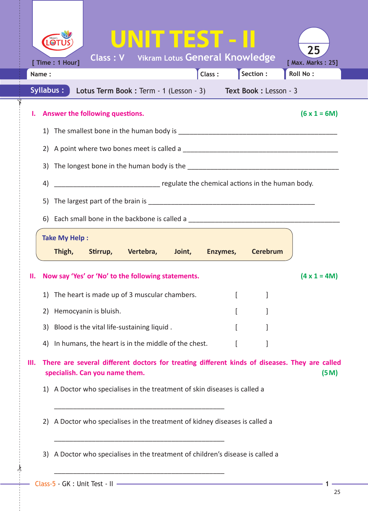|                                                                           |       | $\odot$<br>[ Time : 1 Hour]                                                       |                                 | UNITTEST - II<br><b>Class: V</b> Vikram Lotus General Knowledge             |  |        |  |                 | 25<br>[ Max. Marks: 25]                                                                               |  |
|---------------------------------------------------------------------------|-------|-----------------------------------------------------------------------------------|---------------------------------|-----------------------------------------------------------------------------|--|--------|--|-----------------|-------------------------------------------------------------------------------------------------------|--|
|                                                                           | Name: |                                                                                   |                                 |                                                                             |  | Class: |  | Section :       | Roll No:                                                                                              |  |
| Syllabus:<br>Lotus Term Book: Term - 1 (Lesson - 3) Text Book: Lesson - 3 |       |                                                                                   |                                 |                                                                             |  |        |  |                 |                                                                                                       |  |
|                                                                           |       |                                                                                   | Answer the following questions. |                                                                             |  |        |  |                 | $(6 \times 1 = 6M)$                                                                                   |  |
|                                                                           |       |                                                                                   |                                 |                                                                             |  |        |  |                 |                                                                                                       |  |
|                                                                           |       |                                                                                   |                                 |                                                                             |  |        |  |                 |                                                                                                       |  |
|                                                                           |       |                                                                                   |                                 |                                                                             |  |        |  |                 |                                                                                                       |  |
|                                                                           | 4)    |                                                                                   |                                 |                                                                             |  |        |  |                 |                                                                                                       |  |
|                                                                           |       |                                                                                   |                                 |                                                                             |  |        |  |                 |                                                                                                       |  |
|                                                                           |       | 6) Each small bone in the backbone is called a __________________________________ |                                 |                                                                             |  |        |  |                 |                                                                                                       |  |
|                                                                           |       | <b>Take My Help:</b>                                                              |                                 |                                                                             |  |        |  |                 |                                                                                                       |  |
|                                                                           |       |                                                                                   | Thigh, Stirrup,                 | Vertebra, Joint, Enzymes,                                                   |  |        |  | <b>Cerebrum</b> |                                                                                                       |  |
|                                                                           |       |                                                                                   |                                 |                                                                             |  |        |  |                 |                                                                                                       |  |
| н.                                                                        |       |                                                                                   |                                 | Now say 'Yes' or 'No' to the following statements.                          |  |        |  |                 | $(4 \times 1 = 4M)$                                                                                   |  |
|                                                                           |       |                                                                                   |                                 | 1) The heart is made up of 3 muscular chambers. [1999]                      |  |        |  |                 |                                                                                                       |  |
|                                                                           | 2)    |                                                                                   | Hemocyanin is bluish.           |                                                                             |  |        |  |                 |                                                                                                       |  |
|                                                                           |       |                                                                                   |                                 | 3) Blood is the vital life-sustaining liquid.                               |  |        |  |                 |                                                                                                       |  |
|                                                                           | 4)    |                                                                                   |                                 | In humans, the heart is in the middle of the chest.                         |  |        |  |                 |                                                                                                       |  |
| ш.                                                                        |       |                                                                                   | specialish. Can you name them.  |                                                                             |  |        |  |                 | There are several different doctors for treating different kinds of diseases. They are called<br>(5M) |  |
|                                                                           |       |                                                                                   |                                 | 1) A Doctor who specialises in the treatment of skin diseases is called a   |  |        |  |                 |                                                                                                       |  |
|                                                                           | 2)    | A Doctor who specialises in the treatment of kidney diseases is called a          |                                 |                                                                             |  |        |  |                 |                                                                                                       |  |
|                                                                           | 3)    |                                                                                   |                                 | A Doctor who specialises in the treatment of children's disease is called a |  |        |  |                 |                                                                                                       |  |
|                                                                           |       |                                                                                   |                                 |                                                                             |  |        |  |                 |                                                                                                       |  |

 $\frac{1}{2}$ 

✁